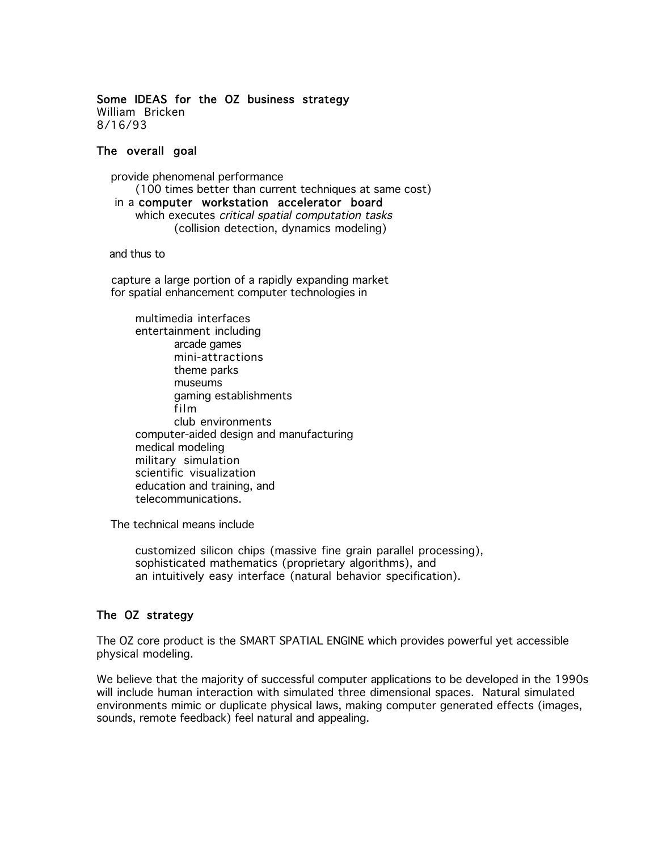#### Some IDEAS for the OZ business strategy William Bricken 8/16/93

#### The overall goal

 provide phenomenal performance (100 times better than current techniques at same cost) in a computer workstation accelerator board which executes *critical spatial computation tasks* (collision detection, dynamics modeling)

and thus to

 capture a large portion of a rapidly expanding market for spatial enhancement computer technologies in

multimedia interfaces entertainment including arcade games mini-attractions theme parks museums gaming establishments film club environments computer-aided design and manufacturing medical modeling military simulation scientific visualization education and training, and telecommunications.

The technical means include

customized silicon chips (massive fine grain parallel processing), sophisticated mathematics (proprietary algorithms), and an intuitively easy interface (natural behavior specification).

# The OZ strategy

The OZ core product is the SMART SPATIAL ENGINE which provides powerful yet accessible physical modeling.

We believe that the majority of successful computer applications to be developed in the 1990s will include human interaction with simulated three dimensional spaces. Natural simulated environments mimic or duplicate physical laws, making computer generated effects (images, sounds, remote feedback) feel natural and appealing.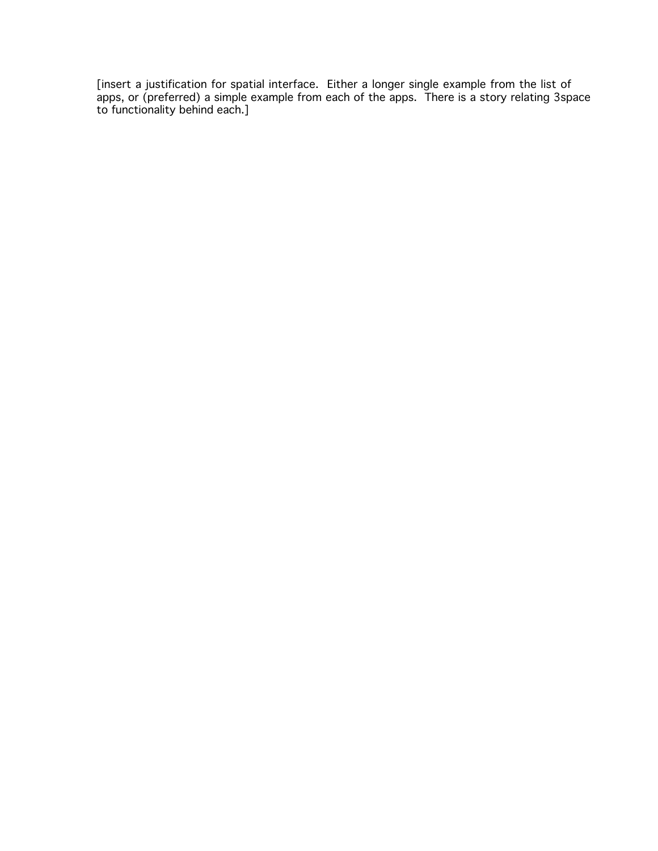[insert a justification for spatial interface. Either a longer single example from the list of apps, or (preferred) a simple example from each of the apps. There is a story relating 3space to functionality behind each.]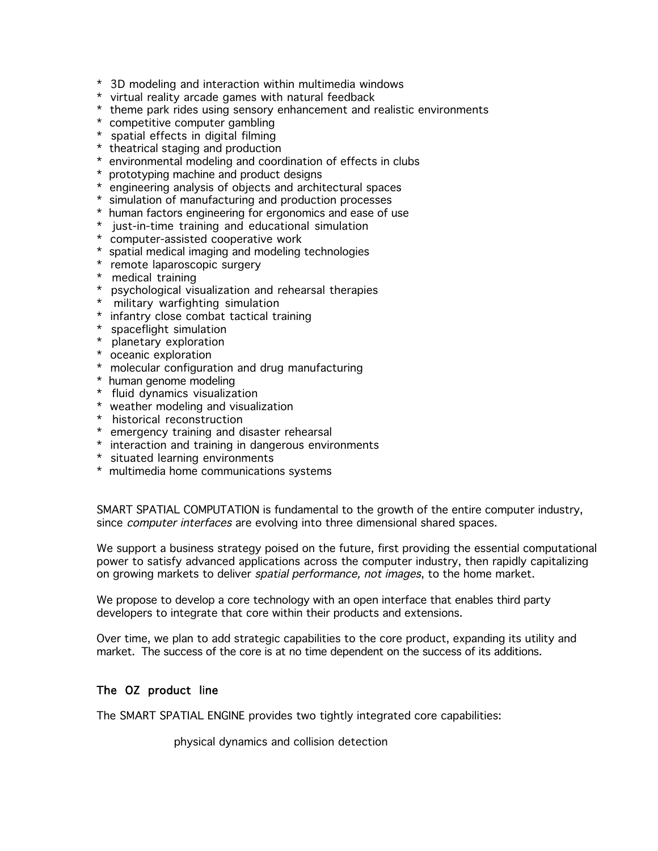- \* 3D modeling and interaction within multimedia windows
- \* virtual reality arcade games with natural feedback
- \* theme park rides using sensory enhancement and realistic environments
- \* competitive computer gambling
- \* spatial effects in digital filming
- \* theatrical staging and production
- \* environmental modeling and coordination of effects in clubs
- \* prototyping machine and product designs
- \* engineering analysis of objects and architectural spaces
- \* simulation of manufacturing and production processes
- \* human factors engineering for ergonomics and ease of use
- \* just-in-time training and educational simulation
- \* computer-assisted cooperative work
- \* spatial medical imaging and modeling technologies
- \* remote laparoscopic surgery
- \* medical training
- \* psychological visualization and rehearsal therapies
- \* military warfighting simulation
- \* infantry close combat tactical training
- \* spaceflight simulation
- \* planetary exploration
- \* oceanic exploration
- \* molecular configuration and drug manufacturing
- \* human genome modeling
- \* fluid dynamics visualization
- \* weather modeling and visualization
- \* historical reconstruction
- \* emergency training and disaster rehearsal
- \* interaction and training in dangerous environments
- \* situated learning environments
- \* multimedia home communications systems

SMART SPATIAL COMPUTATION is fundamental to the growth of the entire computer industry, since *computer interfaces* are evolving into three dimensional shared spaces.

We support a business strategy poised on the future, first providing the essential computational power to satisfy advanced applications across the computer industry, then rapidly capitalizing on growing markets to deliver *spatial performance, not images*, to the home market.

We propose to develop a core technology with an open interface that enables third party developers to integrate that core within their products and extensions.

Over time, we plan to add strategic capabilities to the core product, expanding its utility and market. The success of the core is at no time dependent on the success of its additions.

### The OZ product line

The SMART SPATIAL ENGINE provides two tightly integrated core capabilities:

physical dynamics and collision detection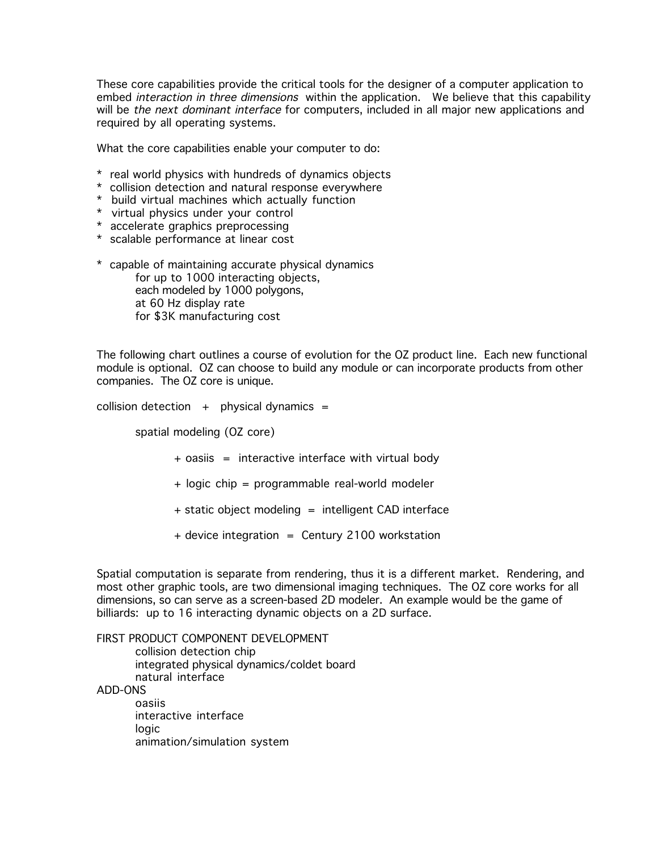These core capabilities provide the critical tools for the designer of a computer application to embed *interaction in three dimensions* within the application. We believe that this capability will be the next dominant interface for computers, included in all major new applications and required by all operating systems.

What the core capabilities enable your computer to do:

- \* real world physics with hundreds of dynamics objects
- \* collision detection and natural response everywhere
- \* build virtual machines which actually function
- \* virtual physics under your control
- \* accelerate graphics preprocessing
- \* scalable performance at linear cost
- \* capable of maintaining accurate physical dynamics for up to 1000 interacting objects, each modeled by 1000 polygons, at 60 Hz display rate for \$3K manufacturing cost

The following chart outlines a course of evolution for the OZ product line. Each new functional module is optional. OZ can choose to build any module or can incorporate products from other companies. The OZ core is unique.

collision detection  $+$  physical dynamics =

spatial modeling (OZ core)

- + oasiis = interactive interface with virtual body
- + logic chip = programmable real-world modeler
- + static object modeling = intelligent CAD interface
- + device integration = Century 2100 workstation

Spatial computation is separate from rendering, thus it is a different market. Rendering, and most other graphic tools, are two dimensional imaging techniques. The OZ core works for all dimensions, so can serve as a screen-based 2D modeler. An example would be the game of billiards: up to 16 interacting dynamic objects on a 2D surface.

FIRST PRODUCT COMPONENT DEVELOPMENT collision detection chip integrated physical dynamics/coldet board natural interface ADD-ONS oasiis interactive interface logic animation/simulation system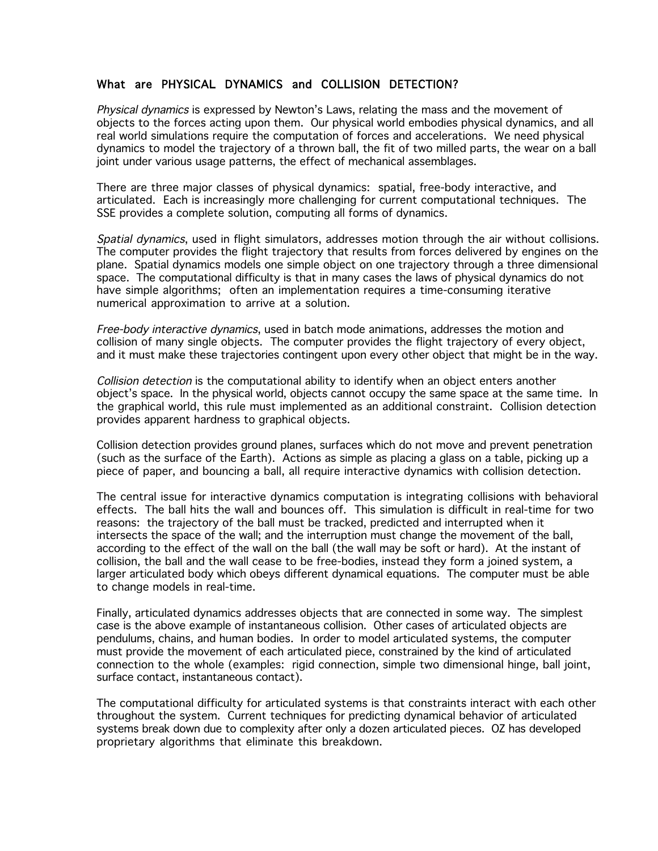# What are PHYSICAL DYNAMICS and COLLISION DETECTION?

Physical dynamics is expressed by Newton's Laws, relating the mass and the movement of objects to the forces acting upon them. Our physical world embodies physical dynamics, and all real world simulations require the computation of forces and accelerations. We need physical dynamics to model the trajectory of a thrown ball, the fit of two milled parts, the wear on a ball joint under various usage patterns, the effect of mechanical assemblages.

There are three major classes of physical dynamics: spatial, free-body interactive, and articulated. Each is increasingly more challenging for current computational techniques. The SSE provides a complete solution, computing all forms of dynamics.

Spatial dynamics, used in flight simulators, addresses motion through the air without collisions. The computer provides the flight trajectory that results from forces delivered by engines on the plane. Spatial dynamics models one simple object on one trajectory through a three dimensional space. The computational difficulty is that in many cases the laws of physical dynamics do not have simple algorithms; often an implementation requires a time-consuming iterative numerical approximation to arrive at a solution.

Free-body interactive dynamics, used in batch mode animations, addresses the motion and collision of many single objects. The computer provides the flight trajectory of every object, and it must make these trajectories contingent upon every other object that might be in the way.

Collision detection is the computational ability to identify when an object enters another object's space. In the physical world, objects cannot occupy the same space at the same time. In the graphical world, this rule must implemented as an additional constraint. Collision detection provides apparent hardness to graphical objects.

Collision detection provides ground planes, surfaces which do not move and prevent penetration (such as the surface of the Earth). Actions as simple as placing a glass on a table, picking up a piece of paper, and bouncing a ball, all require interactive dynamics with collision detection.

The central issue for interactive dynamics computation is integrating collisions with behavioral effects. The ball hits the wall and bounces off. This simulation is difficult in real-time for two reasons: the trajectory of the ball must be tracked, predicted and interrupted when it intersects the space of the wall; and the interruption must change the movement of the ball, according to the effect of the wall on the ball (the wall may be soft or hard). At the instant of collision, the ball and the wall cease to be free-bodies, instead they form a joined system, a larger articulated body which obeys different dynamical equations. The computer must be able to change models in real-time.

Finally, articulated dynamics addresses objects that are connected in some way. The simplest case is the above example of instantaneous collision. Other cases of articulated objects are pendulums, chains, and human bodies. In order to model articulated systems, the computer must provide the movement of each articulated piece, constrained by the kind of articulated connection to the whole (examples: rigid connection, simple two dimensional hinge, ball joint, surface contact, instantaneous contact).

The computational difficulty for articulated systems is that constraints interact with each other throughout the system. Current techniques for predicting dynamical behavior of articulated systems break down due to complexity after only a dozen articulated pieces. OZ has developed proprietary algorithms that eliminate this breakdown.